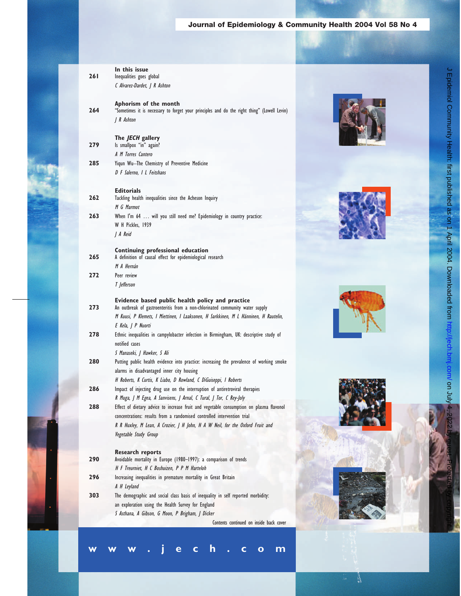## Journal of Epidemiology & Community Health 2004 Vol 58 No 4

|            | In this issue                                                                                                                          |  |
|------------|----------------------------------------------------------------------------------------------------------------------------------------|--|
| <b>261</b> | Inequalities goes global                                                                                                               |  |
|            | C Alvarez-Dardet, J R Ashton                                                                                                           |  |
|            | Aphorism of the month                                                                                                                  |  |
| 264        | "Sometimes it is necessary to forget your principles and do the right thing" (Lowell Levin)                                            |  |
|            | J R Ashton                                                                                                                             |  |
|            |                                                                                                                                        |  |
|            | The JECH gallery                                                                                                                       |  |
| 279        | Is smallpox "in" again?                                                                                                                |  |
|            | A M Torres Cantero                                                                                                                     |  |
| 285        | Yiqun Wu-The Chemistry of Preventive Medicine                                                                                          |  |
|            | D F Salerno, I L Feitshans                                                                                                             |  |
|            |                                                                                                                                        |  |
|            | <b>Editorials</b>                                                                                                                      |  |
| 262        | Tackling health inequalities since the Acheson Inquiry                                                                                 |  |
|            | M G Marmot                                                                                                                             |  |
| 263        | When I'm 64  will you still need me? Epidemiology in country practice:                                                                 |  |
|            | W H Pickles, 1939                                                                                                                      |  |
|            | J A Reid                                                                                                                               |  |
|            | Continuing professional education                                                                                                      |  |
| 265        | A definition of causal effect for epidemiological research                                                                             |  |
|            | M A Hernán                                                                                                                             |  |
| 272        | Peer review                                                                                                                            |  |
|            | T Jefferson                                                                                                                            |  |
|            |                                                                                                                                        |  |
|            | Evidence based public health policy and practice                                                                                       |  |
| 273        | An outbreak of gastroenteritis from a non-chlorinated community water supply                                                           |  |
|            | M Kuusi, P Klemets, I Miettinen, I Laaksonen, H Sarkkinen, M L Hänninen, H Rautelin,                                                   |  |
|            | E Kela, J P Nuorti                                                                                                                     |  |
| 278        | Ethnic inequalities in campylobacter infection in Birmingham, UK: descriptive study of                                                 |  |
|            | notified cases                                                                                                                         |  |
| 280        | S Manaseki, J Hawker, S Ali                                                                                                            |  |
|            | Putting public health evidence into practice: increasing the prevalence of working smoke<br>alarms in disadvantaged inner city housing |  |
|            | H Roberts, K Curtis, K Liabo, D Rowland, C DiGuiseppi, I Roberts                                                                       |  |
| 286        | Impact of injecting drug use on the interruption of antiretroviral therapies                                                           |  |
|            | R Muga, J M Egea, A Sanvisens, J Arnal, C Tural, J Tor, C Rey-Joly                                                                     |  |
| 288        | Effect of dietary advice to increase fruit and vegetable consumption on plasma flavonol                                                |  |
|            | concentrations: results from a randomised controlled intervention trial                                                                |  |
|            | R R Huxley, M Lean, A Crozier, J H John, H A W Neil, for the Oxford Fruit and                                                          |  |
|            | Vegetable Study Group                                                                                                                  |  |
|            |                                                                                                                                        |  |
|            | <b>Research reports</b>                                                                                                                |  |
| 290        | Avoidable mortality in Europe (1980-1997): a comparison of trends                                                                      |  |
|            | H F Treurniet, H C Boshuizen, P P M Harteloh                                                                                           |  |
| 296        | Increasing inequalities in premature mortality in Great Britain                                                                        |  |
|            | A H Leyland                                                                                                                            |  |
| 303        | The demographic and social class basis of inequality in self reported morbidity:                                                       |  |
|            | an exploration using the Health Survey for England                                                                                     |  |
|            | S Asthana, A Gibson, G Moon, P Brigham, J Dicker                                                                                       |  |
|            | Contents continued on inside back cover                                                                                                |  |
|            |                                                                                                                                        |  |

**www.jech.com**